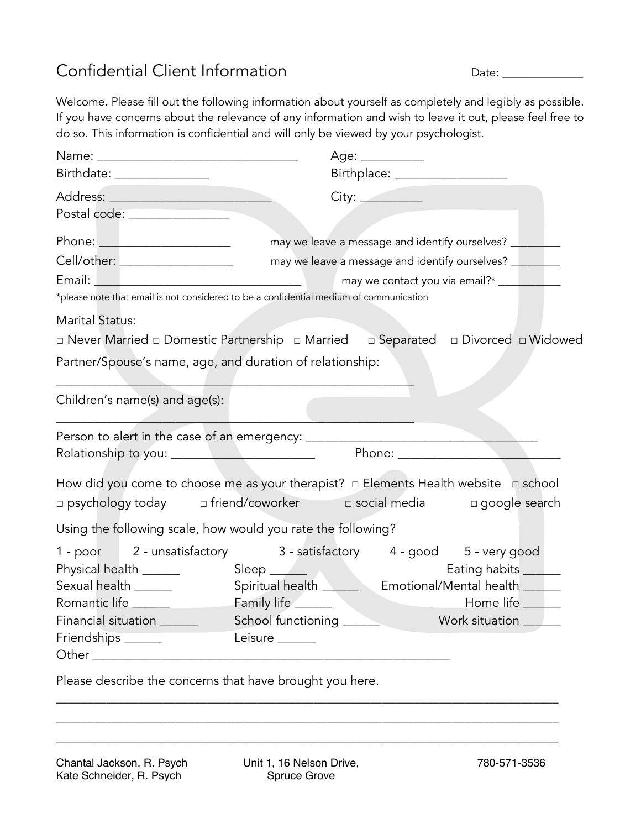## Confidential Client Information and Date: example 2014 and Date: example 2014 and Date: example 2014 and Date:

Welcome. Please fill out the following information about yourself as completely and legibly as possible. If you have concerns about the relevance of any information and wish to leave it out, please feel free to do so. This information is confidential and will only be viewed by your psychologist.

|                                                                                                                                                                                                                                |                               | Age: _________                                 |                                                           |  |
|--------------------------------------------------------------------------------------------------------------------------------------------------------------------------------------------------------------------------------|-------------------------------|------------------------------------------------|-----------------------------------------------------------|--|
| Birthdate: ________________                                                                                                                                                                                                    |                               | Birthplace: __________________                 |                                                           |  |
|                                                                                                                                                                                                                                |                               | City:                                          |                                                           |  |
| Postal code: ________________                                                                                                                                                                                                  |                               |                                                |                                                           |  |
| Phone: ______________________                                                                                                                                                                                                  |                               | may we leave a message and identify ourselves? |                                                           |  |
| Cell/other: __________________                                                                                                                                                                                                 |                               | may we leave a message and identify ourselves? |                                                           |  |
|                                                                                                                                                                                                                                |                               | may we contact you via email?* __________      |                                                           |  |
| *please note that email is not considered to be a confidential medium of communication                                                                                                                                         |                               |                                                |                                                           |  |
| <b>Marital Status:</b>                                                                                                                                                                                                         |                               |                                                |                                                           |  |
| $\Box$ Never Married $\Box$ Domestic Partnership $\Box$ Married                                                                                                                                                                |                               | □ Separated □ Divorced □ Widowed               |                                                           |  |
| Partner/Spouse's name, age, and duration of relationship:                                                                                                                                                                      |                               |                                                |                                                           |  |
|                                                                                                                                                                                                                                |                               |                                                |                                                           |  |
| Children's name(s) and age(s):                                                                                                                                                                                                 |                               |                                                |                                                           |  |
| Person to alert in the case of an emergency: ___________________________________                                                                                                                                               |                               |                                                |                                                           |  |
| Phone: and the state of the state of the state of the state of the state of the state of the state of the state of the state of the state of the state of the state of the state of the state of the state of the state of the |                               |                                                |                                                           |  |
|                                                                                                                                                                                                                                |                               |                                                |                                                           |  |
| How did you come to choose me as your therapist? $\Box$ Elements Health website $\Box$ school<br>□ psychology today = □ friend/coworker = = = social media = = = = google search                                               |                               |                                                |                                                           |  |
|                                                                                                                                                                                                                                |                               |                                                |                                                           |  |
| Using the following scale, how would you rate the following?                                                                                                                                                                   |                               |                                                |                                                           |  |
| 1 - poor 2 - unsatisfactory 3 - satisfactory 4 - good 5 - very good                                                                                                                                                            |                               |                                                |                                                           |  |
| Physical health ______                                                                                                                                                                                                         | Sleep <u>and the state of</u> |                                                | Eating habits ______                                      |  |
| Sexual health ______                                                                                                                                                                                                           |                               |                                                | Spiritual health <b>Emotional/Mental health Emotional</b> |  |
| Romantic life                                                                                                                                                                                                                  | Family life ______            |                                                | Home life ____                                            |  |
| Financial situation _______                                                                                                                                                                                                    | School functioning            | <b>Example 20</b> Work situation               |                                                           |  |
| Friendships ______                                                                                                                                                                                                             | Leisure ______                |                                                |                                                           |  |
|                                                                                                                                                                                                                                |                               |                                                |                                                           |  |
| Please describe the concerns that have brought you here.                                                                                                                                                                       |                               |                                                |                                                           |  |
|                                                                                                                                                                                                                                |                               |                                                |                                                           |  |

\_\_\_\_\_\_\_\_\_\_\_\_\_\_\_\_\_\_\_\_\_\_\_\_\_\_\_\_\_\_\_\_\_\_\_\_\_\_\_\_\_\_\_\_\_\_\_\_\_\_\_\_\_\_\_\_\_\_\_\_\_\_\_\_\_\_\_\_\_\_\_\_\_\_\_\_\_\_\_\_ \_\_\_\_\_\_\_\_\_\_\_\_\_\_\_\_\_\_\_\_\_\_\_\_\_\_\_\_\_\_\_\_\_\_\_\_\_\_\_\_\_\_\_\_\_\_\_\_\_\_\_\_\_\_\_\_\_\_\_\_\_\_\_\_\_\_\_\_\_\_\_\_\_\_\_\_\_\_\_\_